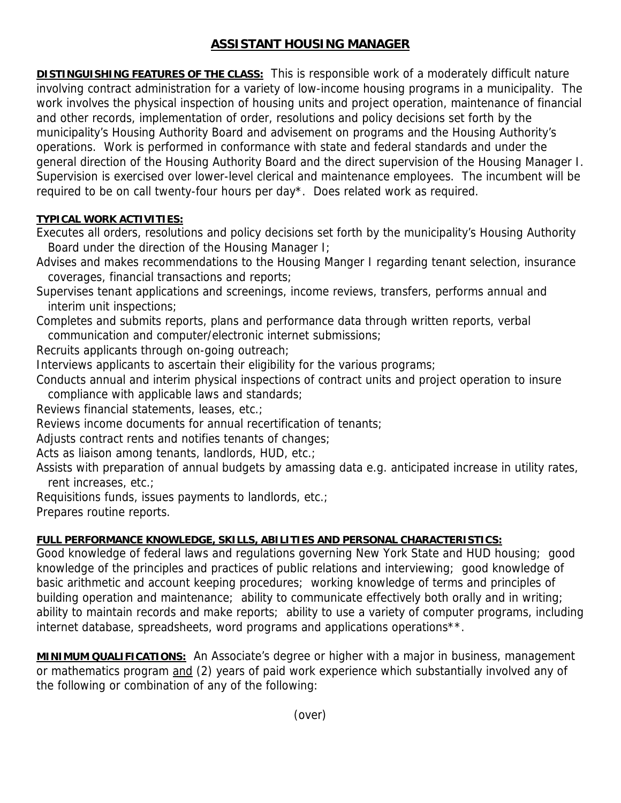# **ASSISTANT HOUSING MANAGER**

**DISTINGUISHING FEATURES OF THE CLASS:** This is responsible work of a moderately difficult nature involving contract administration for a variety of low-income housing programs in a municipality. The work involves the physical inspection of housing units and project operation, maintenance of financial and other records, implementation of order, resolutions and policy decisions set forth by the municipality's Housing Authority Board and advisement on programs and the Housing Authority's operations. Work is performed in conformance with state and federal standards and under the general direction of the Housing Authority Board and the direct supervision of the Housing Manager I. Supervision is exercised over lower-level clerical and maintenance employees. The incumbent will be required to be on call twenty-four hours per day\*. Does related work as required.

## **TYPICAL WORK ACTIVITIES:**

Executes all orders, resolutions and policy decisions set forth by the municipality's Housing Authority Board under the direction of the Housing Manager I;

Advises and makes recommendations to the Housing Manger I regarding tenant selection, insurance coverages, financial transactions and reports;

Supervises tenant applications and screenings, income reviews, transfers, performs annual and interim unit inspections;

Completes and submits reports, plans and performance data through written reports, verbal communication and computer/electronic internet submissions;

Recruits applicants through on-going outreach;

Interviews applicants to ascertain their eligibility for the various programs;

Conducts annual and interim physical inspections of contract units and project operation to insure compliance with applicable laws and standards;

Reviews financial statements, leases, etc.;

Reviews income documents for annual recertification of tenants;

Adjusts contract rents and notifies tenants of changes;

Acts as liaison among tenants, landlords, HUD, etc.;

Assists with preparation of annual budgets by amassing data e.g. anticipated increase in utility rates, rent increases, etc.;

Requisitions funds, issues payments to landlords, etc.;

Prepares routine reports.

## **FULL PERFORMANCE KNOWLEDGE, SKILLS, ABILITIES AND PERSONAL CHARACTERISTICS:**

Good knowledge of federal laws and regulations governing New York State and HUD housing; good knowledge of the principles and practices of public relations and interviewing; good knowledge of basic arithmetic and account keeping procedures; working knowledge of terms and principles of building operation and maintenance; ability to communicate effectively both orally and in writing; ability to maintain records and make reports; ability to use a variety of computer programs, including internet database, spreadsheets, word programs and applications operations\*\*.

**MINIMUM QUALIFICATIONS:** An Associate's degree or higher with a major in business, management or mathematics program and (2) years of paid work experience which substantially involved any of the following or combination of any of the following: